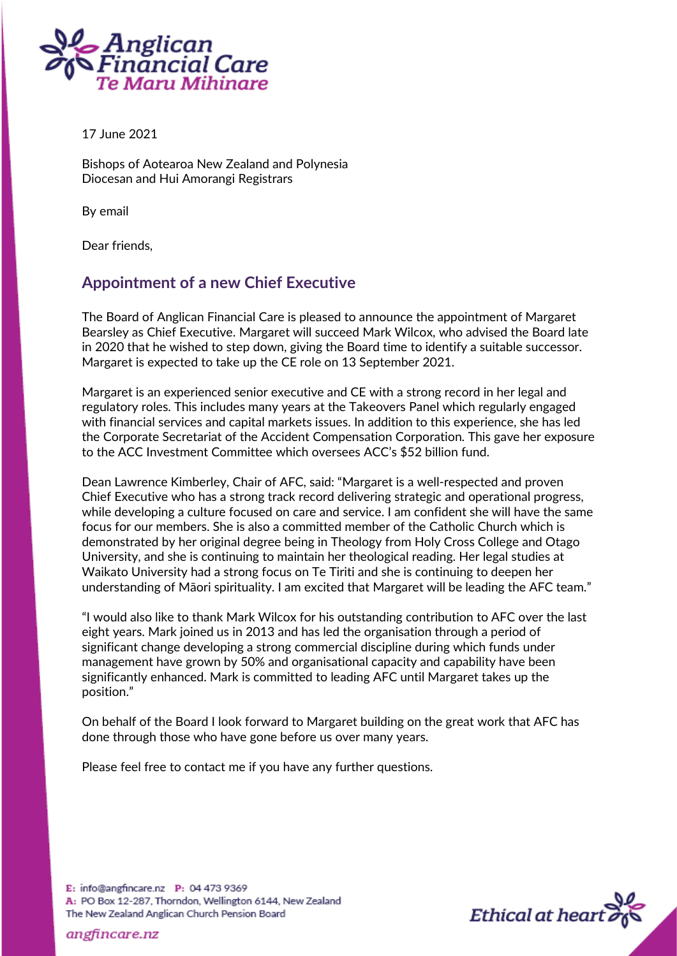

17 June 2021

Bishops of Aotearoa New Zealand and Polynesia Diocesan and Hui Amorangi Registrars

By email

Dear friends,

## **Appointment of a new Chief Executive**

The Board of Anglican Financial Care is pleased to announce the appointment of Margaret Bearsley as Chief Executive. Margaret will succeed Mark Wilcox, who advised the Board late in 2020 that he wished to step down, giving the Board time to identify a suitable successor. Margaret is expected to take up the CE role on 13 September 2021.

Margaret is an experienced senior executive and CE with a strong record in her legal and regulatory roles. This includes many years at the Takeovers Panel which regularly engaged with financial services and capital markets issues. In addition to this experience, she has led the Corporate Secretariat of the Accident Compensation Corporation. This gave her exposure to the ACC Investment Committee which oversees ACC's \$52 billion fund.

Dean Lawrence Kimberley, Chair of AFC, said: "Margaret is a well-respected and proven Chief Executive who has a strong track record delivering strategic and operational progress, while developing a culture focused on care and service. I am confident she will have the same focus for our members. She is also a committed member of the Catholic Church which is demonstrated by her original degree being in Theology from Holy Cross College and Otago University, and she is continuing to maintain her theological reading. Her legal studies at Waikato University had a strong focus on Te Tiriti and she is continuing to deepen her understanding of Māori spirituality. I am excited that Margaret will be leading the AFC team."

"I would also like to thank Mark Wilcox for his outstanding contribution to AFC over the last eight years. Mark joined us in 2013 and has led the organisation through a period of significant change developing a strong commercial discipline during which funds under management have grown by 50% and organisational capacity and capability have been significantly enhanced. Mark is committed to leading AFC until Margaret takes up the position."

On behalf of the Board I look forward to Margaret building on the great work that AFC has done through those who have gone before us over many years.

Please feel free to contact me if you have any further questions.





angfincare.nz